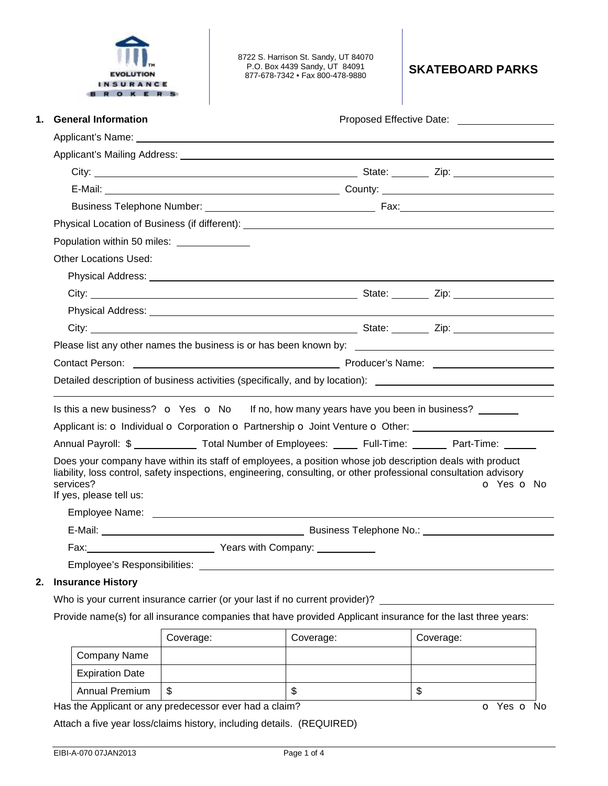

8722 S. Harrison St. Sandy, UT 84070 P.O. Box 4439 Sandy, UT 84091 877-678-7342 • Fax 800-478-9880 **SKATEBOARD PARKS** 

| <b>General Information</b><br>1.                                                                                                                                                                                                                                       |                                                                                                                                                                                                                                |            |  |  |  |  |  |
|------------------------------------------------------------------------------------------------------------------------------------------------------------------------------------------------------------------------------------------------------------------------|--------------------------------------------------------------------------------------------------------------------------------------------------------------------------------------------------------------------------------|------------|--|--|--|--|--|
| Applicant's Name: experience of the state of the state of the state of the state of the state of the state of the state of the state of the state of the state of the state of the state of the state of the state of the stat                                         |                                                                                                                                                                                                                                |            |  |  |  |  |  |
|                                                                                                                                                                                                                                                                        |                                                                                                                                                                                                                                |            |  |  |  |  |  |
|                                                                                                                                                                                                                                                                        |                                                                                                                                                                                                                                |            |  |  |  |  |  |
|                                                                                                                                                                                                                                                                        |                                                                                                                                                                                                                                |            |  |  |  |  |  |
|                                                                                                                                                                                                                                                                        |                                                                                                                                                                                                                                |            |  |  |  |  |  |
|                                                                                                                                                                                                                                                                        | Physical Location of Business (if different): ___________________________________                                                                                                                                              |            |  |  |  |  |  |
| Population within 50 miles: _______________                                                                                                                                                                                                                            |                                                                                                                                                                                                                                |            |  |  |  |  |  |
| <b>Other Locations Used:</b>                                                                                                                                                                                                                                           |                                                                                                                                                                                                                                |            |  |  |  |  |  |
|                                                                                                                                                                                                                                                                        |                                                                                                                                                                                                                                |            |  |  |  |  |  |
|                                                                                                                                                                                                                                                                        |                                                                                                                                                                                                                                |            |  |  |  |  |  |
|                                                                                                                                                                                                                                                                        |                                                                                                                                                                                                                                |            |  |  |  |  |  |
|                                                                                                                                                                                                                                                                        |                                                                                                                                                                                                                                |            |  |  |  |  |  |
|                                                                                                                                                                                                                                                                        |                                                                                                                                                                                                                                |            |  |  |  |  |  |
|                                                                                                                                                                                                                                                                        | Contact Person: Name: Name: Name: Name: Name: Name: Name: Name: Name: Name: Name: Name: Name: Name: Name: Name: Name: Name: Name: Name: Name: Name: Name: Name: Name: Name: Name: Name: Name: Name: Name: Name: Name: Name: Na |            |  |  |  |  |  |
| Detailed description of business activities (specifically, and by location): _________________________________                                                                                                                                                         |                                                                                                                                                                                                                                |            |  |  |  |  |  |
|                                                                                                                                                                                                                                                                        |                                                                                                                                                                                                                                |            |  |  |  |  |  |
| Is this a new business? $\bullet$ Yes $\bullet$ No If no, how many years have you been in business?                                                                                                                                                                    |                                                                                                                                                                                                                                |            |  |  |  |  |  |
| Applicant is: o Individual o Corporation o Partnership o Joint Venture o Other:                                                                                                                                                                                        |                                                                                                                                                                                                                                |            |  |  |  |  |  |
| Annual Payroll: \$ Total Number of Employees: Full-Time: Part-Time:                                                                                                                                                                                                    |                                                                                                                                                                                                                                |            |  |  |  |  |  |
| Does your company have within its staff of employees, a position whose job description deals with product<br>liability, loss control, safety inspections, engineering, consulting, or other professional consultation advisory<br>services?<br>If yes, please tell us: |                                                                                                                                                                                                                                | O Yes O No |  |  |  |  |  |
|                                                                                                                                                                                                                                                                        |                                                                                                                                                                                                                                |            |  |  |  |  |  |
|                                                                                                                                                                                                                                                                        |                                                                                                                                                                                                                                |            |  |  |  |  |  |
| Fax: <u>Next Company:</u> Pears with Company:                                                                                                                                                                                                                          |                                                                                                                                                                                                                                |            |  |  |  |  |  |
|                                                                                                                                                                                                                                                                        |                                                                                                                                                                                                                                |            |  |  |  |  |  |

## **2. Insurance History**

Who is your current insurance carrier (or your last if no current provider)? \_

Provide name(s) for all insurance companies that have provided Applicant insurance for the last three years:

|                        | Coverage: | Coverage: | Coverage: |
|------------------------|-----------|-----------|-----------|
| <b>Company Name</b>    |           |           |           |
| <b>Expiration Date</b> |           |           |           |
| <b>Annual Premium</b>  | \$        | J         | œ<br>J    |

Has the Applicant or any predecessor ever had a claim? **o** Yes **o** No

Attach a five year loss/claims history, including details. (REQUIRED)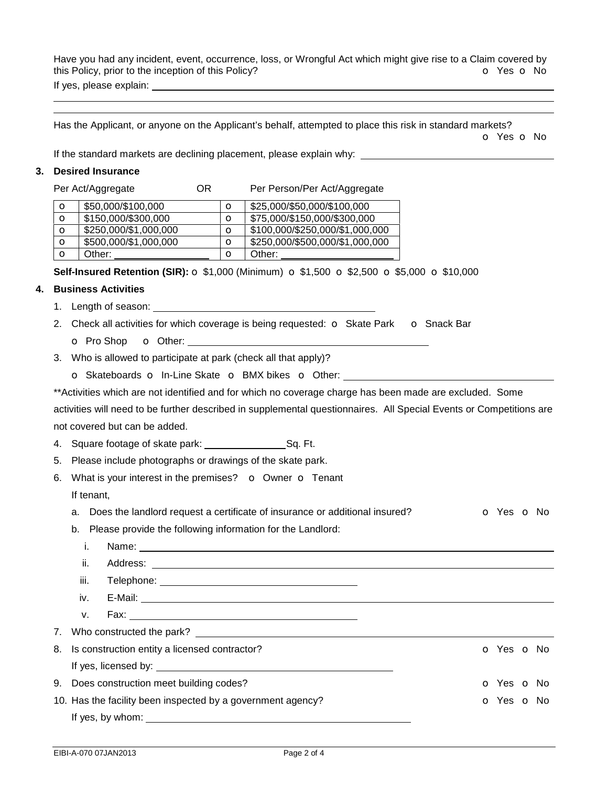Have you had any incident, event, occurrence, loss, or Wrongful Act which might give rise to a Claim covered by this Policy, prior to the inception of this Policy? **o** Yes **o** No If yes, please explain:

Has the Applicant, or anyone on the Applicant's behalf, attempted to place this risk in standard markets? o Yes o No

If the standard markets are declining placement, please explain why:

## **3. Desired Insurance**

 

Per Act/Aggregate **OR** Per Person/Per Act/Aggregate

| O | \$50,000/\$100,000    |   | \$25,000/\$50,000/\$100,000     |
|---|-----------------------|---|---------------------------------|
| O | \$150,000/\$300,000   |   | \$75,000/\$150,000/\$300,000    |
| O | \$250,000/\$1,000,000 |   | \$100,000/\$250,000/\$1,000,000 |
| O | \$500,000/\$1,000,000 | Ω | \$250,000/\$500,000/\$1,000,000 |
| O | Other:                |   | Other:                          |

**Self-Insured Retention (SIR):** o \$1,000 (Minimum) o \$1,500 o \$2,500 o \$5,000 o \$10,000

## **4. Business Activities**

- 1. Length of season:
- 2. Check all activities for which coverage is being requested:  $\circ$  Skate Park  $\circ$  Snack Bar o Pro Shop o Other:
- 3. Who is allowed to participate at park (check all that apply)?

o Skateboards o In-Line Skate o BMX bikes o Other:

\*\*Activities which are not identified and for which no coverage charge has been made are excluded. Some

| activities will need to be further described in supplemental questionnaires. All Special Events or Competitions are |  |
|---------------------------------------------------------------------------------------------------------------------|--|
| not covered but can be added.                                                                                       |  |

4. Square footage of skate park: \_\_\_\_\_\_\_\_\_\_\_\_\_\_\_\_\_\_\_\_\_\_\_Sq. Ft.

- 5. Please include photographs or drawings of the skate park.
- 6. What is your interest in the premises?  $\bullet$  Owner  $\bullet$  Tenant If tenant,
	- a. Does the landlord request a certificate of insurance or additional insured?  $\bullet$  Yes  $\bullet$  No
	- b. Please provide the following information for the Landlord:

| i.                                                                        |                  |  |  |  |  |
|---------------------------------------------------------------------------|------------------|--|--|--|--|
| ii.                                                                       |                  |  |  |  |  |
| iii.                                                                      |                  |  |  |  |  |
|                                                                           |                  |  |  |  |  |
| V.                                                                        |                  |  |  |  |  |
|                                                                           |                  |  |  |  |  |
| 8. Is construction entity a licensed contractor?<br>O Yes O No            |                  |  |  |  |  |
|                                                                           |                  |  |  |  |  |
| 9. Does construction meet building codes?<br>o Yes o No                   |                  |  |  |  |  |
| o Yes o No<br>10. Has the facility been inspected by a government agency? |                  |  |  |  |  |
|                                                                           | If yes, by whom: |  |  |  |  |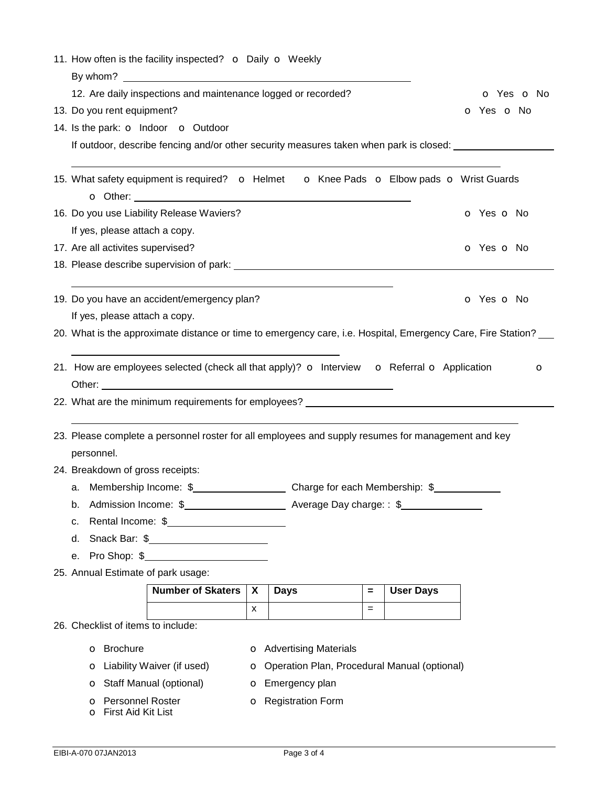|                                    | 11. How often is the facility inspected? o Daily o Weekly                                          |                                    |                                                                                                              |            |                         |     |                  |                          |
|------------------------------------|----------------------------------------------------------------------------------------------------|------------------------------------|--------------------------------------------------------------------------------------------------------------|------------|-------------------------|-----|------------------|--------------------------|
|                                    |                                                                                                    |                                    |                                                                                                              |            |                         |     |                  |                          |
|                                    | 12. Are daily inspections and maintenance logged or recorded?                                      |                                    |                                                                                                              | o Yes o No |                         |     |                  |                          |
|                                    |                                                                                                    | 13. Do you rent equipment?         |                                                                                                              |            |                         |     |                  | O Yes O No               |
|                                    |                                                                                                    |                                    | 14. Is the park: <b>o</b> Indoor <b>o</b> Outdoor                                                            |            |                         |     |                  |                          |
|                                    |                                                                                                    |                                    | If outdoor, describe fencing and/or other security measures taken when park is closed:                       |            |                         |     |                  |                          |
|                                    |                                                                                                    |                                    |                                                                                                              |            |                         |     |                  |                          |
|                                    |                                                                                                    |                                    | 15. What safety equipment is required? • Helmet • o Knee Pads • Elbow pads • Wrist Guards                    |            |                         |     |                  |                          |
|                                    |                                                                                                    |                                    | 16. Do you use Liability Release Waviers?                                                                    |            |                         |     |                  | <b>o</b> Yes <b>o</b> No |
|                                    |                                                                                                    | If yes, please attach a copy.      |                                                                                                              |            |                         |     |                  |                          |
|                                    |                                                                                                    | 17. Are all activites supervised?  |                                                                                                              |            |                         |     |                  | o Yes o No               |
|                                    |                                                                                                    |                                    |                                                                                                              |            |                         |     |                  |                          |
|                                    |                                                                                                    |                                    |                                                                                                              |            |                         |     |                  |                          |
|                                    |                                                                                                    |                                    | 19. Do you have an accident/emergency plan?                                                                  |            |                         |     |                  | o Yes o No               |
|                                    |                                                                                                    | If yes, please attach a copy.      |                                                                                                              |            |                         |     |                  |                          |
|                                    |                                                                                                    |                                    | 20. What is the approximate distance or time to emergency care, i.e. Hospital, Emergency Care, Fire Station? |            |                         |     |                  |                          |
|                                    |                                                                                                    |                                    |                                                                                                              |            |                         |     |                  |                          |
|                                    |                                                                                                    |                                    | 21. How are employees selected (check all that apply)? o Interview o Referral o Application                  |            |                         |     |                  | O                        |
|                                    |                                                                                                    |                                    |                                                                                                              |            |                         |     |                  |                          |
|                                    |                                                                                                    |                                    |                                                                                                              |            |                         |     |                  |                          |
|                                    |                                                                                                    |                                    |                                                                                                              |            |                         |     |                  |                          |
|                                    | 23. Please complete a personnel roster for all employees and supply resumes for management and key |                                    |                                                                                                              |            |                         |     |                  |                          |
|                                    |                                                                                                    | personnel.                         |                                                                                                              |            |                         |     |                  |                          |
|                                    |                                                                                                    | 24. Breakdown of gross receipts:   |                                                                                                              |            |                         |     |                  |                          |
|                                    |                                                                                                    |                                    |                                                                                                              |            |                         |     |                  |                          |
|                                    | b.                                                                                                 |                                    |                                                                                                              |            |                         |     |                  |                          |
|                                    | Rental Income: \$<br>c.                                                                            |                                    |                                                                                                              |            |                         |     |                  |                          |
|                                    | d.                                                                                                 |                                    | Snack Bar: \$                                                                                                |            |                         |     |                  |                          |
|                                    | Pro Shop: \$<br>е.                                                                                 |                                    |                                                                                                              |            |                         |     |                  |                          |
| 25. Annual Estimate of park usage: |                                                                                                    |                                    |                                                                                                              |            |                         |     |                  |                          |
|                                    |                                                                                                    |                                    | <b>Number of Skaters</b>                                                                                     | X          | <b>Days</b>             | $=$ | <b>User Days</b> |                          |
|                                    |                                                                                                    |                                    |                                                                                                              | X          |                         | $=$ |                  |                          |
|                                    |                                                                                                    | 26. Checklist of items to include: |                                                                                                              |            |                         |     |                  |                          |
|                                    | <b>o</b> Brochure<br><b>o</b> Advertising Materials                                                |                                    |                                                                                                              |            |                         |     |                  |                          |
|                                    | <b>o</b> Liability Waiver (if used)<br>O Operation Plan, Procedural Manual (optional)              |                                    |                                                                                                              |            |                         |     |                  |                          |
|                                    |                                                                                                    |                                    | <b>o</b> Staff Manual (optional)                                                                             |            | <b>o</b> Emergency plan |     |                  |                          |
|                                    | <b>o</b> Personnel Roster<br><b>o</b> Registration Form                                            |                                    |                                                                                                              |            |                         |     |                  |                          |
|                                    | O First Aid Kit List                                                                               |                                    |                                                                                                              |            |                         |     |                  |                          |